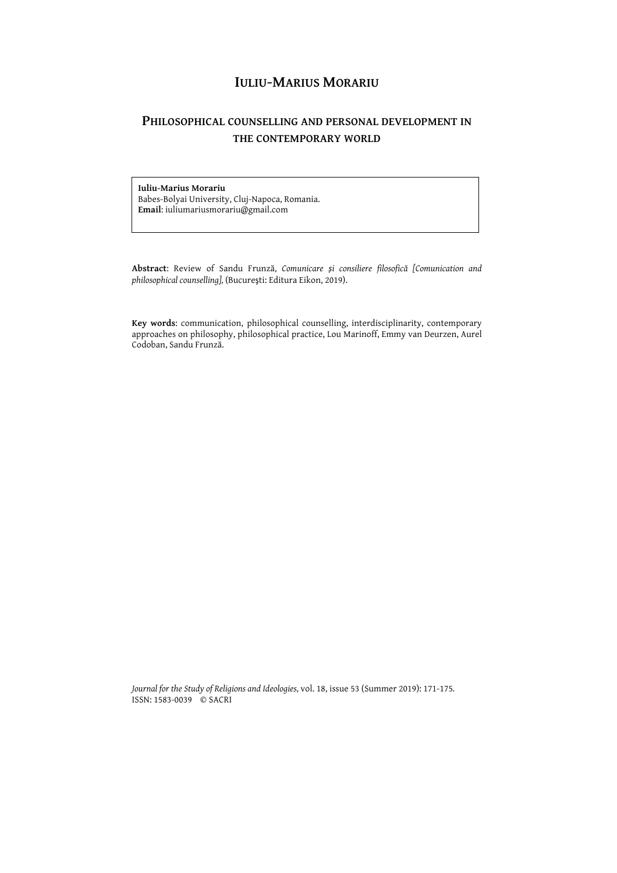## **IULIU-MARIUS MORARIU**

## **PHILOSOPHICAL COUNSELLING AND PERSONAL DEVELOPMENT IN THE CONTEMPORARY WORLD**

## **Iuliu-Marius Morariu**

Babes-Bolyai University, Cluj-Napoca, Romania. **Email**: iuliumariusmorariu@gmail.com

**Abstract**: Review of Sandu Frunză, *Comunicare și consiliere filosofică [Comunication and philosophical counselling],* (Bucureşti: Editura Eikon, 2019).

**Key words**: communication, philosophical counselling, interdisciplinarity, contemporary approaches on philosophy, philosophical practice, Lou Marinoff, Emmy van Deurzen, Aurel Codoban, Sandu Frunză.

*Journal for the Study of Religions and Ideologies,* vol. 18, issue 53 (Summer 2019): 171-175*.* ISSN: 1583-0039 © SACRI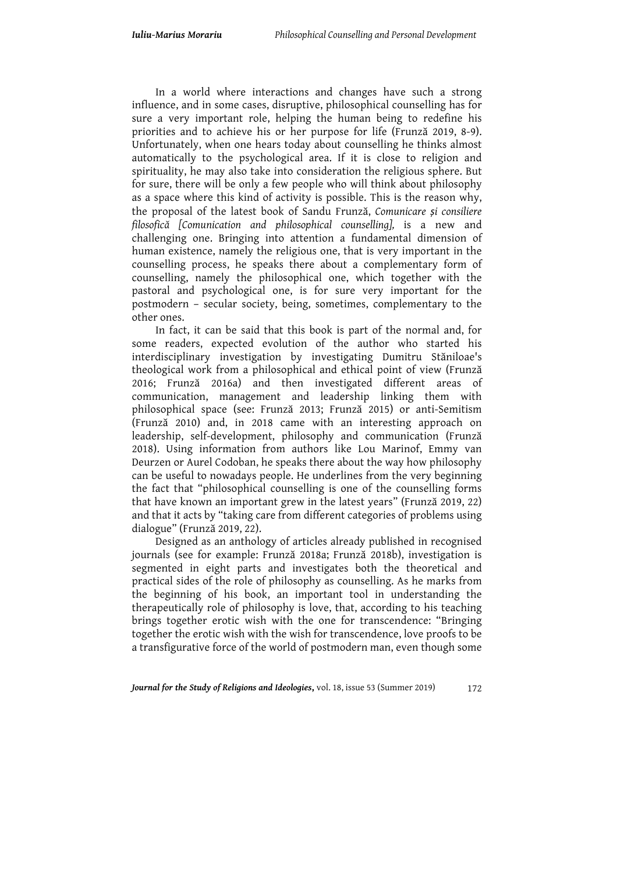In a world where interactions and changes have such a strong influence, and in some cases, disruptive, philosophical counselling has for sure a very important role, helping the human being to redefine his priorities and to achieve his or her purpose for life (Frunză 2019, 8-9). Unfortunately, when one hears today about counselling he thinks almost automatically to the psychological area. If it is close to religion and spirituality, he may also take into consideration the religious sphere. But for sure, there will be only a few people who will think about philosophy as a space where this kind of activity is possible. This is the reason why, the proposal of the latest book of Sandu Frunză, *Comunicare și consiliere filosofică [Comunication and philosophical counselling],* is a new and challenging one. Bringing into attention a fundamental dimension of human existence, namely the religious one, that is very important in the counselling process, he speaks there about a complementary form of counselling, namely the philosophical one, which together with the pastoral and psychological one, is for sure very important for the postmodern – secular society, being, sometimes, complementary to the other ones.

In fact, it can be said that this book is part of the normal and, for some readers, expected evolution of the author who started his interdisciplinary investigation by investigating Dumitru Stăniloae's theological work from a philosophical and ethical point of view (Frunză 2016; Frunză 2016a) and then investigated different areas of communication, management and leadership linking them with philosophical space (see: Frunză 2013; Frunză 2015) or anti-Semitism (Frunză 2010) and, in 2018 came with an interesting approach on leadership, self-development, philosophy and communication (Frunză 2018). Using information from authors like Lou Marinof, Emmy van Deurzen or Aurel Codoban, he speaks there about the way how philosophy can be useful to nowadays people. He underlines from the very beginning the fact that "philosophical counselling is one of the counselling forms that have known an important grew in the latest years" (Frunză 2019, 22) and that it acts by "taking care from different categories of problems using dialogue" (Frunză 2019, 22).

Designed as an anthology of articles already published in recognised journals (see for example: Frunză 2018a; Frunză 2018b), investigation is segmented in eight parts and investigates both the theoretical and practical sides of the role of philosophy as counselling. As he marks from the beginning of his book, an important tool in understanding the therapeutically role of philosophy is love, that, according to his teaching brings together erotic wish with the one for transcendence: "Bringing together the erotic wish with the wish for transcendence, love proofs to be a transfigurative force of the world of postmodern man, even though some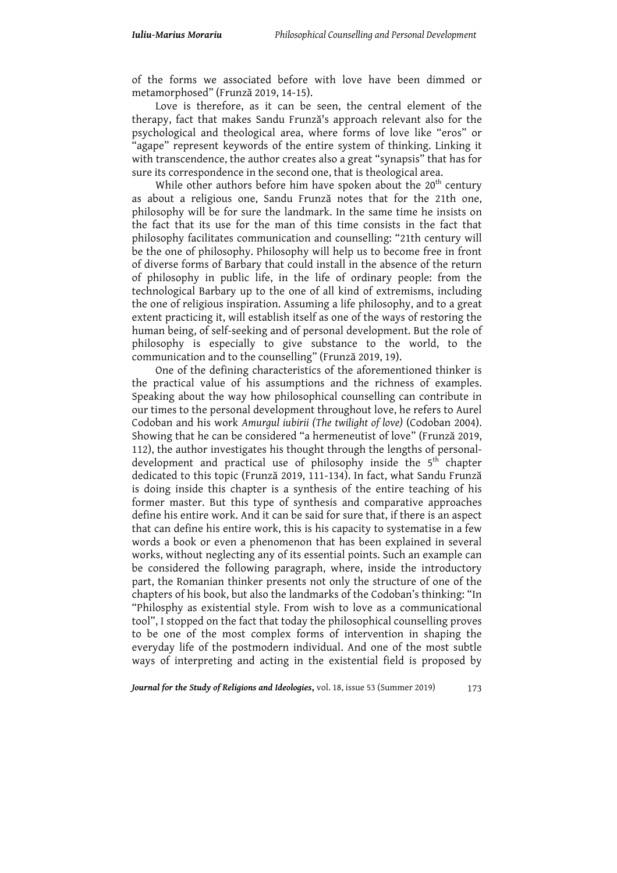of the forms we associated before with love have been dimmed or metamorphosed" (Frunză 2019, 14-15).

Love is therefore, as it can be seen, the central element of the therapy, fact that makes Sandu Frunză's approach relevant also for the psychological and theological area, where forms of love like "eros" or "agape" represent keywords of the entire system of thinking. Linking it with transcendence, the author creates also a great "synapsis" that has for sure its correspondence in the second one, that is theological area.

While other authors before him have spoken about the  $20<sup>th</sup>$  century as about a religious one, Sandu Frunză notes that for the 21th one, philosophy will be for sure the landmark. In the same time he insists on the fact that its use for the man of this time consists in the fact that philosophy facilitates communication and counselling: "21th century will be the one of philosophy. Philosophy will help us to become free in front of diverse forms of Barbary that could install in the absence of the return of philosophy in public life, in the life of ordinary people: from the technological Barbary up to the one of all kind of extremisms, including the one of religious inspiration. Assuming a life philosophy, and to a great extent practicing it, will establish itself as one of the ways of restoring the human being, of self-seeking and of personal development. But the role of philosophy is especially to give substance to the world, to the communication and to the counselling" (Frunză 2019, 19).

One of the defining characteristics of the aforementioned thinker is the practical value of his assumptions and the richness of examples. Speaking about the way how philosophical counselling can contribute in our times to the personal development throughout love, he refers to Aurel Codoban and his work *Amurgul iubirii (The twilight of love)* (Codoban 2004). Showing that he can be considered "a hermeneutist of love" (Frunză 2019, 112), the author investigates his thought through the lengths of personaldevelopment and practical use of philosophy inside the  $5<sup>th</sup>$  chapter dedicated to this topic (Frunză 2019, 111-134). In fact, what Sandu Frunză is doing inside this chapter is a synthesis of the entire teaching of his former master. But this type of synthesis and comparative approaches define his entire work. And it can be said for sure that, if there is an aspect that can define his entire work, this is his capacity to systematise in a few words a book or even a phenomenon that has been explained in several works, without neglecting any of its essential points. Such an example can be considered the following paragraph, where, inside the introductory part, the Romanian thinker presents not only the structure of one of the chapters of his book, but also the landmarks of the Codoban's thinking: "In "Philosphy as existential style. From wish to love as a communicational tool", I stopped on the fact that today the philosophical counselling proves to be one of the most complex forms of intervention in shaping the everyday life of the postmodern individual. And one of the most subtle ways of interpreting and acting in the existential field is proposed by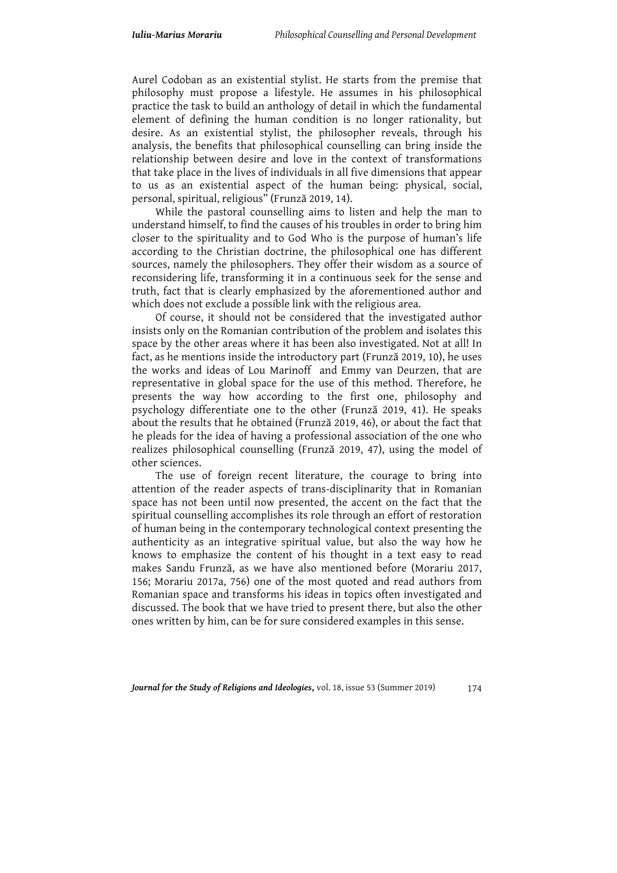Aurel Codoban as an existential stylist. He starts from the premise that philosophy must propose a lifestyle. He assumes in his philosophical practice the task to build an anthology of detail in which the fundamental element of defining the human condition is no longer rationality, but desire. As an existential stylist, the philosopher reveals, through his analysis, the benefits that philosophical counselling can bring inside the relationship between desire and love in the context of transformations that take place in the lives of individuals in all five dimensions that appear to us as an existential aspect of the human being: physical, social, personal, spiritual, religious" (Frunză 2019, 14).

While the pastoral counselling aims to listen and help the man to understand himself, to find the causes of his troubles in order to bring him closer to the spirituality and to God Who is the purpose of human's life according to the Christian doctrine, the philosophical one has different sources, namely the philosophers. They offer their wisdom as a source of reconsidering life, transforming it in a continuous seek for the sense and truth, fact that is clearly emphasized by the aforementioned author and which does not exclude a possible link with the religious area.

Of course, it should not be considered that the investigated author insists only on the Romanian contribution of the problem and isolates this space by the other areas where it has been also investigated. Not at all! In fact, as he mentions inside the introductory part (Frunză 2019, 10), he uses the works and ideas of Lou Marinoff and Emmy van Deurzen, that are representative in global space for the use of this method. Therefore, he presents the way how according to the first one, philosophy and psychology differentiate one to the other (Frunză 2019, 41). He speaks about the results that he obtained (Frunză 2019, 46), or about the fact that he pleads for the idea of having a professional association of the one who realizes philosophical counselling (Frunză 2019, 47), using the model of other sciences.

The use of foreign recent literature, the courage to bring into attention of the reader aspects of trans-disciplinarity that in Romanian space has not been until now presented, the accent on the fact that the spiritual counselling accomplishes its role through an effort of restoration of human being in the contemporary technological context presenting the authenticity as an integrative spiritual value, but also the way how he knows to emphasize the content of his thought in a text easy to read makes Sandu Frunză, as we have also mentioned before (Morariu 2017, 156; Morariu 2017a, 756) one of the most quoted and read authors from Romanian space and transforms his ideas in topics often investigated and discussed. The book that we have tried to present there, but also the other ones written by him, can be for sure considered examples in this sense.